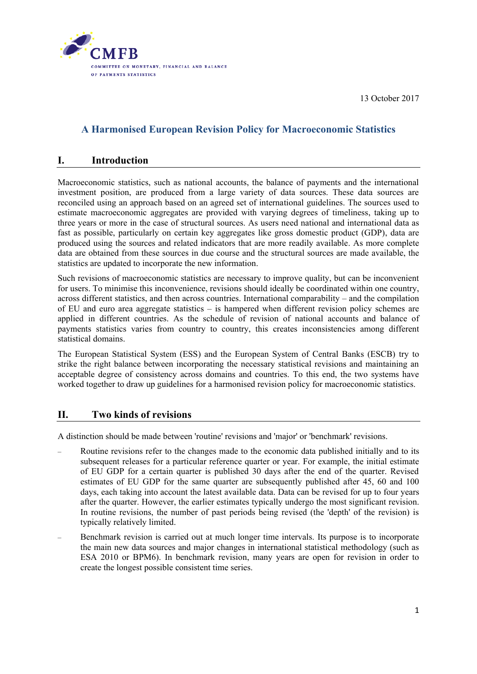

13 October 2017

## **A Harmonised European Revision Policy for Macroeconomic Statistics**

#### **I. Introduction**

Macroeconomic statistics, such as national accounts, the balance of payments and the international investment position, are produced from a large variety of data sources. These data sources are reconciled using an approach based on an agreed set of international guidelines. The sources used to estimate macroeconomic aggregates are provided with varying degrees of timeliness, taking up to three years or more in the case of structural sources. As users need national and international data as fast as possible, particularly on certain key aggregates like gross domestic product (GDP), data are produced using the sources and related indicators that are more readily available. As more complete data are obtained from these sources in due course and the structural sources are made available, the statistics are updated to incorporate the new information.

Such revisions of macroeconomic statistics are necessary to improve quality, but can be inconvenient for users. To minimise this inconvenience, revisions should ideally be coordinated within one country, across different statistics, and then across countries. International comparability – and the compilation of EU and euro area aggregate statistics – is hampered when different revision policy schemes are applied in different countries. As the schedule of revision of national accounts and balance of payments statistics varies from country to country, this creates inconsistencies among different statistical domains.

The European Statistical System (ESS) and the European System of Central Banks (ESCB) try to strike the right balance between incorporating the necessary statistical revisions and maintaining an acceptable degree of consistency across domains and countries. To this end, the two systems have worked together to draw up guidelines for a harmonised revision policy for macroeconomic statistics.

#### **II. Two kinds of revisions**

A distinction should be made between 'routine' revisions and 'major' or 'benchmark' revisions.

- Routine revisions refer to the changes made to the economic data published initially and to its subsequent releases for a particular reference quarter or year. For example, the initial estimate of EU GDP for a certain quarter is published 30 days after the end of the quarter. Revised estimates of EU GDP for the same quarter are subsequently published after 45, 60 and 100 days, each taking into account the latest available data. Data can be revised for up to four years after the quarter. However, the earlier estimates typically undergo the most significant revision. In routine revisions, the number of past periods being revised (the 'depth' of the revision) is typically relatively limited.
- Benchmark revision is carried out at much longer time intervals. Its purpose is to incorporate the main new data sources and major changes in international statistical methodology (such as ESA 2010 or BPM6). In benchmark revision, many years are open for revision in order to create the longest possible consistent time series.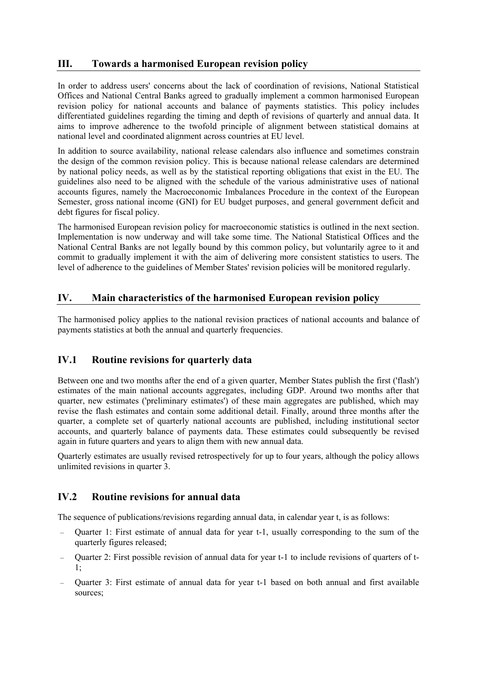## **III. Towards a harmonised European revision policy**

In order to address users' concerns about the lack of coordination of revisions, National Statistical Offices and National Central Banks agreed to gradually implement a common harmonised European revision policy for national accounts and balance of payments statistics. This policy includes differentiated guidelines regarding the timing and depth of revisions of quarterly and annual data. It aims to improve adherence to the twofold principle of alignment between statistical domains at national level and coordinated alignment across countries at EU level.

In addition to source availability, national release calendars also influence and sometimes constrain the design of the common revision policy. This is because national release calendars are determined by national policy needs, as well as by the statistical reporting obligations that exist in the EU. The guidelines also need to be aligned with the schedule of the various administrative uses of national accounts figures, namely the Macroeconomic Imbalances Procedure in the context of the European Semester, gross national income (GNI) for EU budget purposes, and general government deficit and debt figures for fiscal policy.

The harmonised European revision policy for macroeconomic statistics is outlined in the next section. Implementation is now underway and will take some time. The National Statistical Offices and the National Central Banks are not legally bound by this common policy, but voluntarily agree to it and commit to gradually implement it with the aim of delivering more consistent statistics to users. The level of adherence to the guidelines of Member States' revision policies will be monitored regularly.

## **IV. Main characteristics of the harmonised European revision policy**

The harmonised policy applies to the national revision practices of national accounts and balance of payments statistics at both the annual and quarterly frequencies.

# **IV.1 Routine revisions for quarterly data**

Between one and two months after the end of a given quarter, Member States publish the first ('flash') estimates of the main national accounts aggregates, including GDP. Around two months after that quarter, new estimates ('preliminary estimates') of these main aggregates are published, which may revise the flash estimates and contain some additional detail. Finally, around three months after the quarter, a complete set of quarterly national accounts are published, including institutional sector accounts, and quarterly balance of payments data. These estimates could subsequently be revised again in future quarters and years to align them with new annual data.

Quarterly estimates are usually revised retrospectively for up to four years, although the policy allows unlimited revisions in quarter 3.

# **IV.2 Routine revisions for annual data**

The sequence of publications/revisions regarding annual data, in calendar year t, is as follows:

- Quarter 1: First estimate of annual data for year t-1, usually corresponding to the sum of the quarterly figures released;
- Quarter 2: First possible revision of annual data for year t-1 to include revisions of quarters of t-1;
- Quarter 3: First estimate of annual data for year t-1 based on both annual and first available sources;